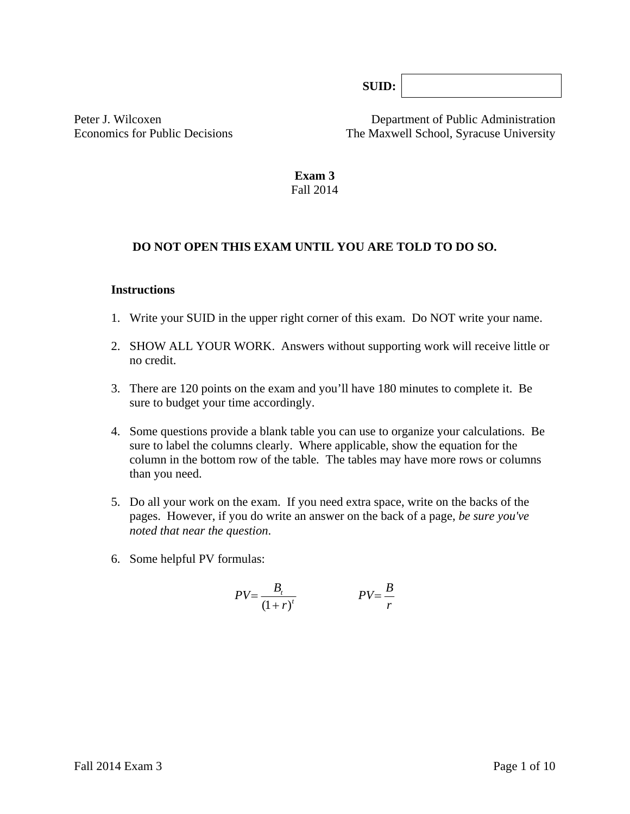**SUID:**

Peter J. Wilcoxen Department of Public Administration Economics for Public Decisions The Maxwell School, Syracuse University

> **Exam 3**  Fall 2014

#### **DO NOT OPEN THIS EXAM UNTIL YOU ARE TOLD TO DO SO.**

#### **Instructions**

- 1. Write your SUID in the upper right corner of this exam. Do NOT write your name.
- 2. SHOW ALL YOUR WORK. Answers without supporting work will receive little or no credit.
- 3. There are 120 points on the exam and you'll have 180 minutes to complete it. Be sure to budget your time accordingly.
- 4. Some questions provide a blank table you can use to organize your calculations. Be sure to label the columns clearly. Where applicable, show the equation for the column in the bottom row of the table*.* The tables may have more rows or columns than you need.
- 5. Do all your work on the exam. If you need extra space, write on the backs of the pages. However, if you do write an answer on the back of a page, *be sure you've noted that near the question*.
- 6. Some helpful PV formulas:

$$
PV = \frac{B_t}{(1+r)^t}
$$
 
$$
PV = \frac{B}{r}
$$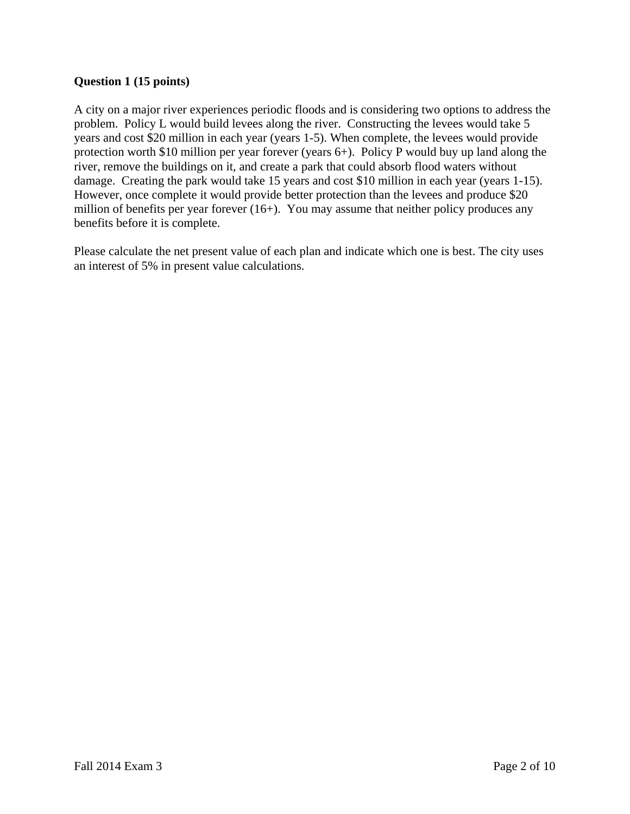# **Question 1 (15 points)**

A city on a major river experiences periodic floods and is considering two options to address the problem. Policy L would build levees along the river. Constructing the levees would take 5 years and cost \$20 million in each year (years 1-5). When complete, the levees would provide protection worth \$10 million per year forever (years 6+). Policy P would buy up land along the river, remove the buildings on it, and create a park that could absorb flood waters without damage. Creating the park would take 15 years and cost \$10 million in each year (years 1-15). However, once complete it would provide better protection than the levees and produce \$20 million of benefits per year forever (16+). You may assume that neither policy produces any benefits before it is complete.

Please calculate the net present value of each plan and indicate which one is best. The city uses an interest of 5% in present value calculations.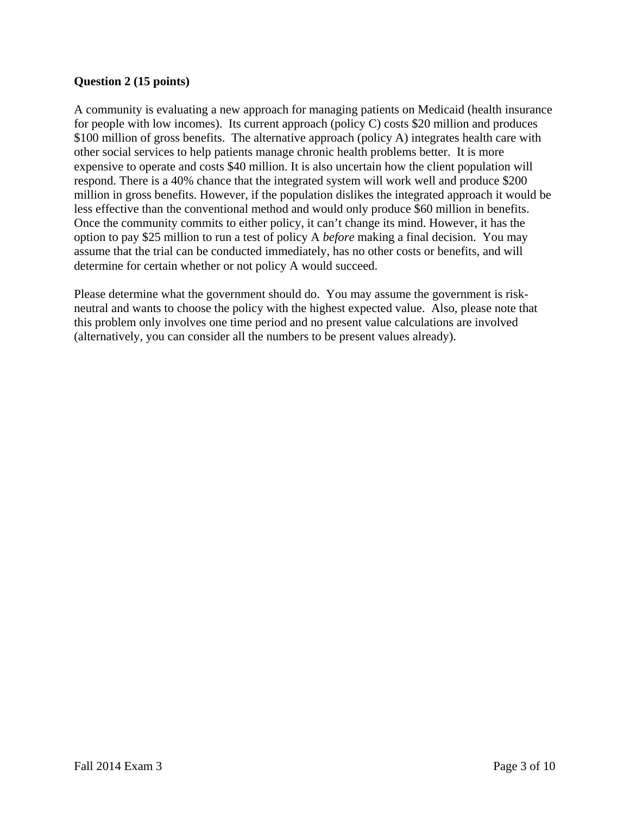### **Question 2 (15 points)**

A community is evaluating a new approach for managing patients on Medicaid (health insurance for people with low incomes). Its current approach (policy C) costs \$20 million and produces \$100 million of gross benefits. The alternative approach (policy A) integrates health care with other social services to help patients manage chronic health problems better. It is more expensive to operate and costs \$40 million. It is also uncertain how the client population will respond. There is a 40% chance that the integrated system will work well and produce \$200 million in gross benefits. However, if the population dislikes the integrated approach it would be less effective than the conventional method and would only produce \$60 million in benefits. Once the community commits to either policy, it can't change its mind. However, it has the option to pay \$25 million to run a test of policy A *before* making a final decision. You may assume that the trial can be conducted immediately, has no other costs or benefits, and will determine for certain whether or not policy A would succeed.

Please determine what the government should do. You may assume the government is riskneutral and wants to choose the policy with the highest expected value. Also, please note that this problem only involves one time period and no present value calculations are involved (alternatively, you can consider all the numbers to be present values already).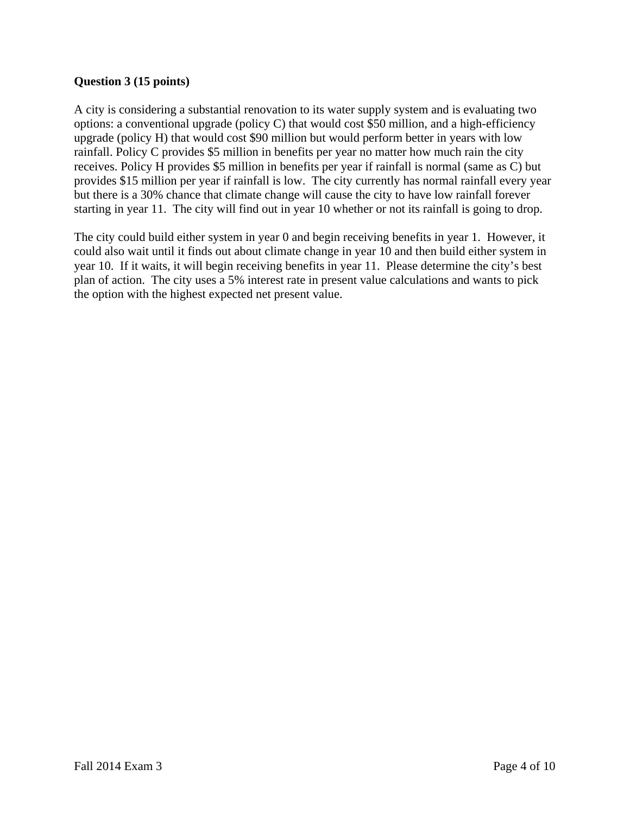## **Question 3 (15 points)**

A city is considering a substantial renovation to its water supply system and is evaluating two options: a conventional upgrade (policy C) that would cost \$50 million, and a high-efficiency upgrade (policy H) that would cost \$90 million but would perform better in years with low rainfall. Policy C provides \$5 million in benefits per year no matter how much rain the city receives. Policy H provides \$5 million in benefits per year if rainfall is normal (same as C) but provides \$15 million per year if rainfall is low. The city currently has normal rainfall every year but there is a 30% chance that climate change will cause the city to have low rainfall forever starting in year 11. The city will find out in year 10 whether or not its rainfall is going to drop.

The city could build either system in year 0 and begin receiving benefits in year 1. However, it could also wait until it finds out about climate change in year 10 and then build either system in year 10. If it waits, it will begin receiving benefits in year 11. Please determine the city's best plan of action. The city uses a 5% interest rate in present value calculations and wants to pick the option with the highest expected net present value.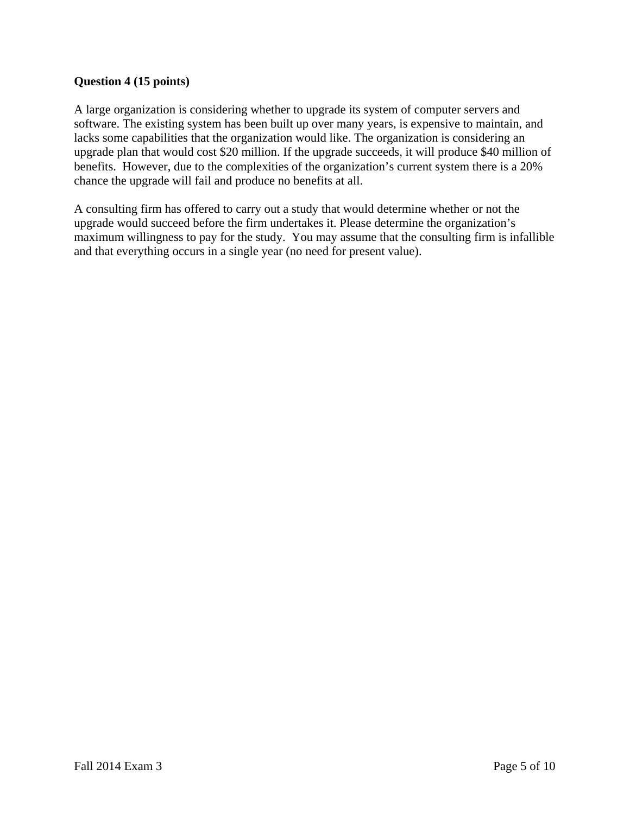# **Question 4 (15 points)**

A large organization is considering whether to upgrade its system of computer servers and software. The existing system has been built up over many years, is expensive to maintain, and lacks some capabilities that the organization would like. The organization is considering an upgrade plan that would cost \$20 million. If the upgrade succeeds, it will produce \$40 million of benefits. However, due to the complexities of the organization's current system there is a 20% chance the upgrade will fail and produce no benefits at all.

A consulting firm has offered to carry out a study that would determine whether or not the upgrade would succeed before the firm undertakes it. Please determine the organization's maximum willingness to pay for the study. You may assume that the consulting firm is infallible and that everything occurs in a single year (no need for present value).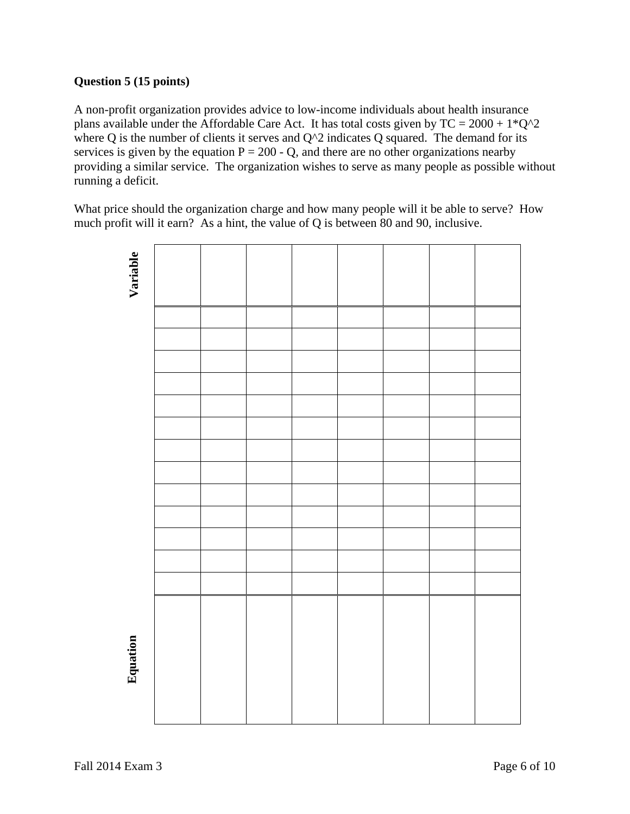# **Question 5 (15 points)**

A non-profit organization provides advice to low-income individuals about health insurance plans available under the Affordable Care Act. It has total costs given by  $TC = 2000 + 1*Q^2$ where Q is the number of clients it serves and  $Q^2$  indicates Q squared. The demand for its services is given by the equation  $P = 200 - Q$ , and there are no other organizations nearby providing a similar service. The organization wishes to serve as many people as possible without running a deficit.

What price should the organization charge and how many people will it be able to serve? How much profit will it earn? As a hint, the value of Q is between 80 and 90, inclusive.

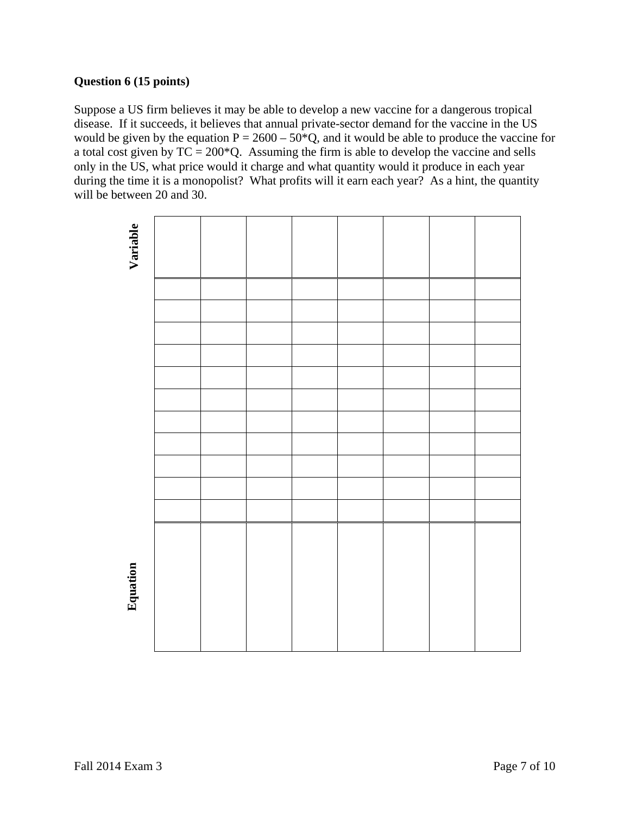# **Question 6 (15 points)**

Suppose a US firm believes it may be able to develop a new vaccine for a dangerous tropical disease. If it succeeds, it believes that annual private-sector demand for the vaccine in the US would be given by the equation  $P = 2600 - 50^{\circ}Q$ , and it would be able to produce the vaccine for a total cost given by TC = 200\*Q. Assuming the firm is able to develop the vaccine and sells only in the US, what price would it charge and what quantity would it produce in each year during the time it is a monopolist? What profits will it earn each year? As a hint, the quantity will be between 20 and 30.

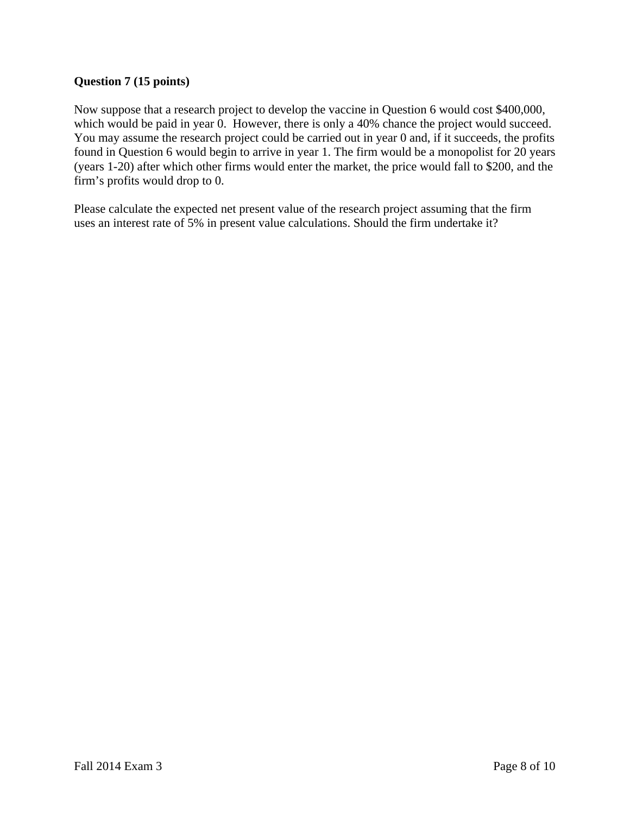# **Question 7 (15 points)**

Now suppose that a research project to develop the vaccine in Question 6 would cost \$400,000, which would be paid in year 0. However, there is only a 40% chance the project would succeed. You may assume the research project could be carried out in year 0 and, if it succeeds, the profits found in Question 6 would begin to arrive in year 1. The firm would be a monopolist for 20 years (years 1-20) after which other firms would enter the market, the price would fall to \$200, and the firm's profits would drop to 0.

Please calculate the expected net present value of the research project assuming that the firm uses an interest rate of 5% in present value calculations. Should the firm undertake it?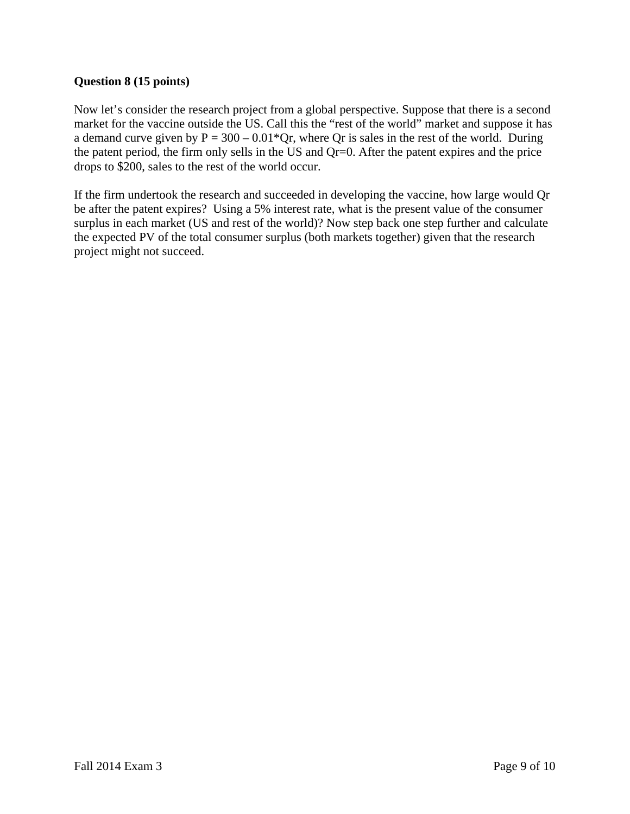# **Question 8 (15 points)**

Now let's consider the research project from a global perspective. Suppose that there is a second market for the vaccine outside the US. Call this the "rest of the world" market and suppose it has a demand curve given by  $P = 300 - 0.01*Qr$ , where Qr is sales in the rest of the world. During the patent period, the firm only sells in the US and Qr=0. After the patent expires and the price drops to \$200, sales to the rest of the world occur.

If the firm undertook the research and succeeded in developing the vaccine, how large would Qr be after the patent expires? Using a 5% interest rate, what is the present value of the consumer surplus in each market (US and rest of the world)? Now step back one step further and calculate the expected PV of the total consumer surplus (both markets together) given that the research project might not succeed.